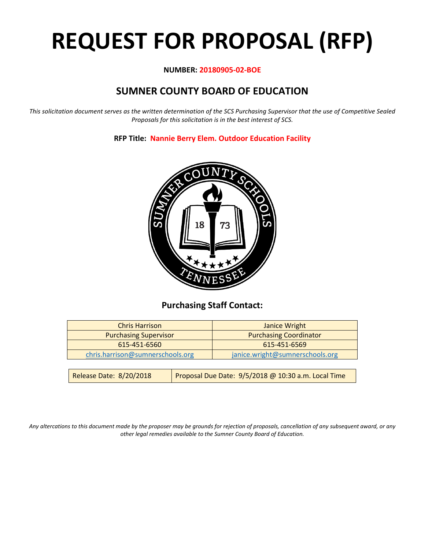# **REQUEST FOR PROPOSAL (RFP)**

#### **NUMBER: 20180905-02-BOE**

# **SUMNER COUNTY BOARD OF EDUCATION**

*This solicitation document serves as the written determination of the SCS Purchasing Supervisor that the use of Competitive Sealed Proposals for this solicitation is in the best interest of SCS.*

**RFP Title: Nannie Berry Elem. Outdoor Education Facility**



## **Purchasing Staff Contact:**

| <b>Chris Harrison</b>            |                                                     | Janice Wright                   |  |
|----------------------------------|-----------------------------------------------------|---------------------------------|--|
| <b>Purchasing Supervisor</b>     |                                                     | <b>Purchasing Coordinator</b>   |  |
| 615-451-6560                     |                                                     | 615-451-6569                    |  |
| chris.harrison@sumnerschools.org |                                                     | janice.wright@sumnerschools.org |  |
|                                  |                                                     |                                 |  |
| Release Date: 8/20/2018          | Proposal Due Date: 9/5/2018 @ 10:30 a.m. Local Time |                                 |  |

*Any altercations to this document made by the proposer may be grounds for rejection of proposals, cancellation of any subsequent award, or any other legal remedies available to the Sumner County Board of Education.*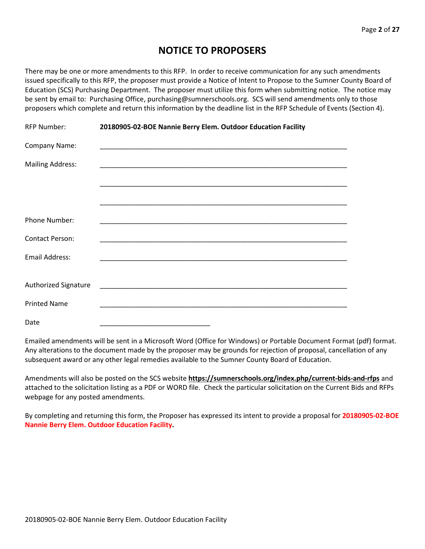## **NOTICE TO PROPOSERS**

There may be one or more amendments to this RFP. In order to receive communication for any such amendments issued specifically to this RFP, the proposer must provide a Notice of Intent to Propose to the Sumner County Board of Education (SCS) Purchasing Department. The proposer must utilize this form when submitting notice. The notice may be sent by email to: Purchasing Office, purchasing@sumnerschools.org. SCS will send amendments only to those proposers which complete and return this information by the deadline list in the RFP Schedule of Events (Section 4).

| RFP Number:                 | 20180905-02-BOE Nannie Berry Elem. Outdoor Education Facility |  |  |
|-----------------------------|---------------------------------------------------------------|--|--|
| Company Name:               |                                                               |  |  |
| <b>Mailing Address:</b>     |                                                               |  |  |
|                             |                                                               |  |  |
|                             |                                                               |  |  |
| <b>Phone Number:</b>        |                                                               |  |  |
| <b>Contact Person:</b>      |                                                               |  |  |
| Email Address:              |                                                               |  |  |
|                             |                                                               |  |  |
| <b>Authorized Signature</b> |                                                               |  |  |
| <b>Printed Name</b>         |                                                               |  |  |
| Date                        |                                                               |  |  |

Emailed amendments will be sent in a Microsoft Word (Office for Windows) or Portable Document Format (pdf) format. Any alterations to the document made by the proposer may be grounds for rejection of proposal, cancellation of any subsequent award or any other legal remedies available to the Sumner County Board of Education.

Amendments will also be posted on the SCS website **https://sumnerschools.org/index.php/current-bids-and-rfps** and attached to the solicitation listing as a PDF or WORD file. Check the particular solicitation on the Current Bids and RFPs webpage for any posted amendments.

By completing and returning this form, the Proposer has expressed its intent to provide a proposal for **20180905-02-BOE Nannie Berry Elem. Outdoor Education Facility.**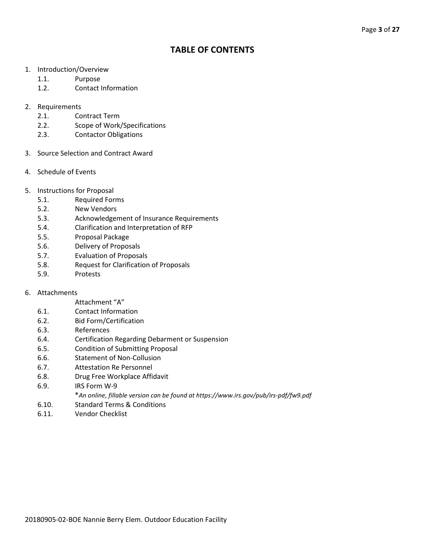## **TABLE OF CONTENTS**

- 1. Introduction/Overview
	- 1.1. Purpose
	- 1.2. Contact Information
- 2. Requirements
	- 2.1. Contract Term
	- 2.2. Scope of Work/Specifications
	- 2.3. Contactor Obligations
- 3. Source Selection and Contract Award
- 4. Schedule of Events
- 5. Instructions for Proposal
	- 5.1. Required Forms
	- 5.2. New Vendors
	- 5.3. Acknowledgement of Insurance Requirements
	- 5.4. Clarification and Interpretation of RFP
	- 5.5. Proposal Package
	- 5.6. Delivery of Proposals
	- 5.7. Evaluation of Proposals
	- 5.8. Request for Clarification of Proposals
	- 5.9. Protests

#### 6. Attachments

#### Attachment "A"

- 6.1. Contact Information
- 6.2. Bid Form/Certification
- 6.3. References
- 6.4. Certification Regarding Debarment or Suspension
- 6.5. Condition of Submitting Proposal
- 6.6. Statement of Non-Collusion
- 6.7. Attestation Re Personnel
- 6.8. Drug Free Workplace Affidavit
- 6.9. IRS Form W-9
	- \**An online, fillable version can be found at https://www.irs.gov/pub/irs-pdf/fw9.pdf*
- 6.10. Standard Terms & Conditions
- 6.11. Vendor Checklist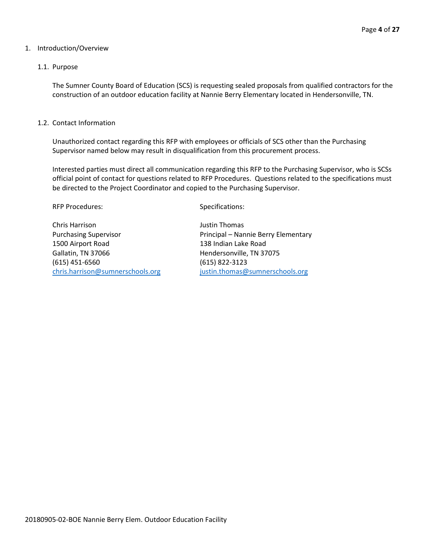#### 1. Introduction/Overview

#### 1.1. Purpose

The Sumner County Board of Education (SCS) is requesting sealed proposals from qualified contractors for the construction of an outdoor education facility at Nannie Berry Elementary located in Hendersonville, TN.

#### 1.2. Contact Information

Unauthorized contact regarding this RFP with employees or officials of SCS other than the Purchasing Supervisor named below may result in disqualification from this procurement process.

Interested parties must direct all communication regarding this RFP to the Purchasing Supervisor, who is SCSs official point of contact for questions related to RFP Procedures. Questions related to the specifications must be directed to the Project Coordinator and copied to the Purchasing Supervisor.

RFP Procedures: Specifications:

Chris Harrison Justin Thomas 1500 Airport Road 138 Indian Lake Road Gallatin, TN 37066 Hendersonville, TN 37075 (615) 451-6560 (615) 822-3123 [chris.harrison@sumnerschools.org](mailto:chris.harrison@sumnerschools.org) [justin.thomas@sumnerschools.org](mailto:justin.thomas@sumnerschools.org)

Purchasing Supervisor **Principal – Nannie Berry Elementary**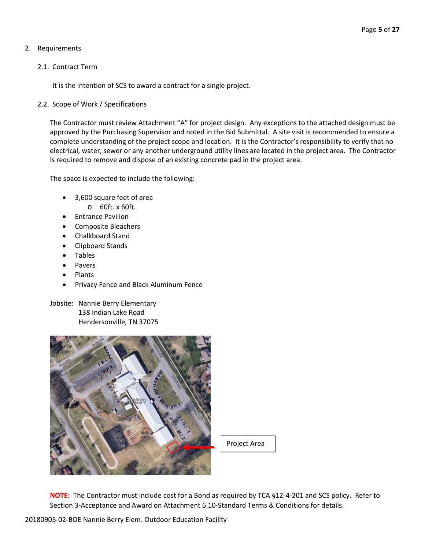#### 2. Requirements

#### 2.1. Contract Term

It is the intention of SCS to award a contract for a single project.

#### 2.2. Scope of Work / Specifications

The Contractor must review Attachment "A" for project design. Any exceptions to the attached design must be approved by the Purchasing Supervisor and noted in the Bid Submittal. A site visit is recommended to ensure a complete understanding of the project scope and location. It is the Contractor's responsibility to verify that no electrical, water, sewer or any another underground utility lines are located in the project area. The Contractor is required to remove and dispose of an existing concrete pad in the project area.

The space is expected to include the following:

- 3,600 square feet of area
	- o 60ft. x 60ft.
- Entrance Pavilion
- Composite Bleachers
- Chalkboard Stand
- Clipboard Stands
- Tables
- Pavers
- Plants
- Privacy Fence and Black Aluminum Fence
- Jobsite: Nannie Berry Elementary 138 Indian Lake Road Hendersonville, TN 37075



Project Area

**NOTE:** The Contractor must include cost for a Bond as required by TCA §12-4-201 and SCS policy. Refer to Section 3-Acceptance and Award on Attachment 6.10-Standard Terms & Conditions for details.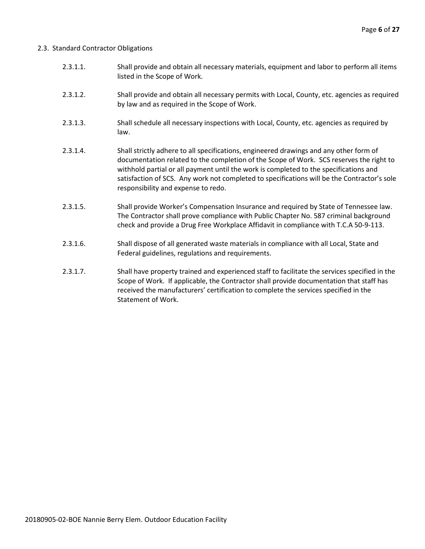#### 2.3. Standard Contractor Obligations

- 2.3.1.1. Shall provide and obtain all necessary materials, equipment and labor to perform all items listed in the Scope of Work.
- 2.3.1.2. Shall provide and obtain all necessary permits with Local, County, etc. agencies as required by law and as required in the Scope of Work.
- 2.3.1.3. Shall schedule all necessary inspections with Local, County, etc. agencies as required by law.
- 2.3.1.4. Shall strictly adhere to all specifications, engineered drawings and any other form of documentation related to the completion of the Scope of Work. SCS reserves the right to withhold partial or all payment until the work is completed to the specifications and satisfaction of SCS. Any work not completed to specifications will be the Contractor's sole responsibility and expense to redo.
- 2.3.1.5. Shall provide Worker's Compensation Insurance and required by State of Tennessee law. The Contractor shall prove compliance with Public Chapter No. 587 criminal background check and provide a Drug Free Workplace Affidavit in compliance with T.C.A 50-9-113.
- 2.3.1.6. Shall dispose of all generated waste materials in compliance with all Local, State and Federal guidelines, regulations and requirements.
- 2.3.1.7. Shall have property trained and experienced staff to facilitate the services specified in the Scope of Work. If applicable, the Contractor shall provide documentation that staff has received the manufacturers' certification to complete the services specified in the Statement of Work.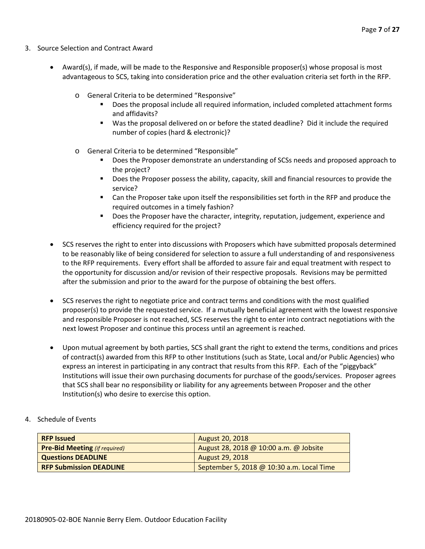- 3. Source Selection and Contract Award
	- Award(s), if made, will be made to the Responsive and Responsible proposer(s) whose proposal is most advantageous to SCS, taking into consideration price and the other evaluation criteria set forth in the RFP.
		- o General Criteria to be determined "Responsive"
			- Does the proposal include all required information, included completed attachment forms and affidavits?
			- Was the proposal delivered on or before the stated deadline? Did it include the required number of copies (hard & electronic)?
		- o General Criteria to be determined "Responsible"
			- Does the Proposer demonstrate an understanding of SCSs needs and proposed approach to the project?
			- **Does the Proposer possess the ability, capacity, skill and financial resources to provide the** service?
			- Can the Proposer take upon itself the responsibilities set forth in the RFP and produce the required outcomes in a timely fashion?
			- **Does the Proposer have the character, integrity, reputation, judgement, experience and** efficiency required for the project?
	- SCS reserves the right to enter into discussions with Proposers which have submitted proposals determined to be reasonably like of being considered for selection to assure a full understanding of and responsiveness to the RFP requirements. Every effort shall be afforded to assure fair and equal treatment with respect to the opportunity for discussion and/or revision of their respective proposals. Revisions may be permitted after the submission and prior to the award for the purpose of obtaining the best offers.
	- SCS reserves the right to negotiate price and contract terms and conditions with the most qualified proposer(s) to provide the requested service. If a mutually beneficial agreement with the lowest responsive and responsible Proposer is not reached, SCS reserves the right to enter into contract negotiations with the next lowest Proposer and continue this process until an agreement is reached.
	- Upon mutual agreement by both parties, SCS shall grant the right to extend the terms, conditions and prices of contract(s) awarded from this RFP to other Institutions (such as State, Local and/or Public Agencies) who express an interest in participating in any contract that results from this RFP. Each of the "piggyback" Institutions will issue their own purchasing documents for purchase of the goods/services. Proposer agrees that SCS shall bear no responsibility or liability for any agreements between Proposer and the other Institution(s) who desire to exercise this option.
- 4. Schedule of Events

| <b>RFP Issued</b>                    | <b>August 20, 2018</b>                    |
|--------------------------------------|-------------------------------------------|
| <b>Pre-Bid Meeting (if required)</b> | August 28, 2018 @ 10:00 a.m. @ Jobsite    |
| <b>Questions DEADLINE</b>            | August 29, 2018                           |
| <b>RFP Submission DEADLINE</b>       | September 5, 2018 @ 10:30 a.m. Local Time |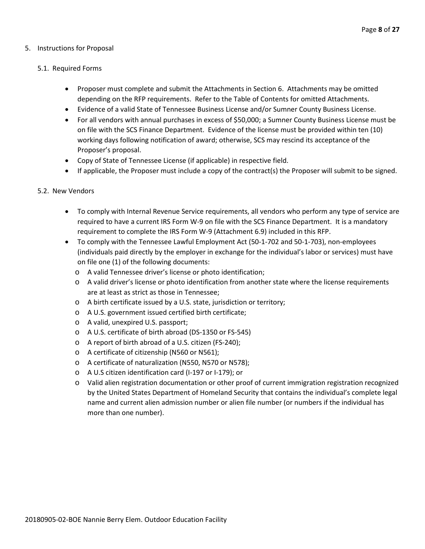#### 5. Instructions for Proposal

#### 5.1. Required Forms

- Proposer must complete and submit the Attachments in Section 6. Attachments may be omitted depending on the RFP requirements. Refer to the Table of Contents for omitted Attachments.
- Evidence of a valid State of Tennessee Business License and/or Sumner County Business License.
- For all vendors with annual purchases in excess of \$50,000; a Sumner County Business License must be on file with the SCS Finance Department. Evidence of the license must be provided within ten (10) working days following notification of award; otherwise, SCS may rescind its acceptance of the Proposer's proposal.
- Copy of State of Tennessee License (if applicable) in respective field.
- If applicable, the Proposer must include a copy of the contract(s) the Proposer will submit to be signed.

#### 5.2. New Vendors

- To comply with Internal Revenue Service requirements, all vendors who perform any type of service are required to have a current IRS Form W-9 on file with the SCS Finance Department. It is a mandatory requirement to complete the IRS Form W-9 (Attachment 6.9) included in this RFP.
- To comply with the Tennessee Lawful Employment Act (50-1-702 and 50-1-703), non-employees (individuals paid directly by the employer in exchange for the individual's labor or services) must have on file one (1) of the following documents:
	- o A valid Tennessee driver's license or photo identification;
	- o A valid driver's license or photo identification from another state where the license requirements are at least as strict as those in Tennessee;
	- o A birth certificate issued by a U.S. state, jurisdiction or territory;
	- o A U.S. government issued certified birth certificate;
	- o A valid, unexpired U.S. passport;
	- o A U.S. certificate of birth abroad (DS-1350 or FS-545)
	- o A report of birth abroad of a U.S. citizen (FS-240);
	- o A certificate of citizenship (N560 or N561);
	- o A certificate of naturalization (N550, N570 or N578);
	- o A U.S citizen identification card (I-197 or I-179); or
	- o Valid alien registration documentation or other proof of current immigration registration recognized by the United States Department of Homeland Security that contains the individual's complete legal name and current alien admission number or alien file number (or numbers if the individual has more than one number).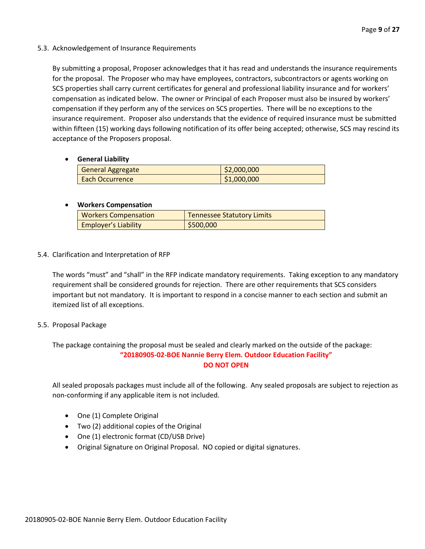#### 5.3. Acknowledgement of Insurance Requirements

By submitting a proposal, Proposer acknowledges that it has read and understands the insurance requirements for the proposal. The Proposer who may have employees, contractors, subcontractors or agents working on SCS properties shall carry current certificates for general and professional liability insurance and for workers' compensation as indicated below. The owner or Principal of each Proposer must also be insured by workers' compensation if they perform any of the services on SCS properties. There will be no exceptions to the insurance requirement. Proposer also understands that the evidence of required insurance must be submitted within fifteen (15) working days following notification of its offer being accepted; otherwise, SCS may rescind its acceptance of the Proposers proposal.

#### • **General Liability**

| <b>General Aggregate</b> | \$2,000,000 |
|--------------------------|-------------|
| <b>Each Occurrence</b>   | \$1,000,000 |

#### • **Workers Compensation**

| <b>Workers Compensation</b> | <b>Tennessee Statutory Limits</b> |
|-----------------------------|-----------------------------------|
| <b>Employer's Liability</b> | \$500,000                         |

#### 5.4. Clarification and Interpretation of RFP

The words "must" and "shall" in the RFP indicate mandatory requirements. Taking exception to any mandatory requirement shall be considered grounds for rejection. There are other requirements that SCS considers important but not mandatory. It is important to respond in a concise manner to each section and submit an itemized list of all exceptions.

#### 5.5. Proposal Package

The package containing the proposal must be sealed and clearly marked on the outside of the package: **"20180905-02-BOE Nannie Berry Elem. Outdoor Education Facility" DO NOT OPEN**

All sealed proposals packages must include all of the following. Any sealed proposals are subject to rejection as non-conforming if any applicable item is not included.

- One (1) Complete Original
- Two (2) additional copies of the Original
- One (1) electronic format (CD/USB Drive)
- Original Signature on Original Proposal. NO copied or digital signatures.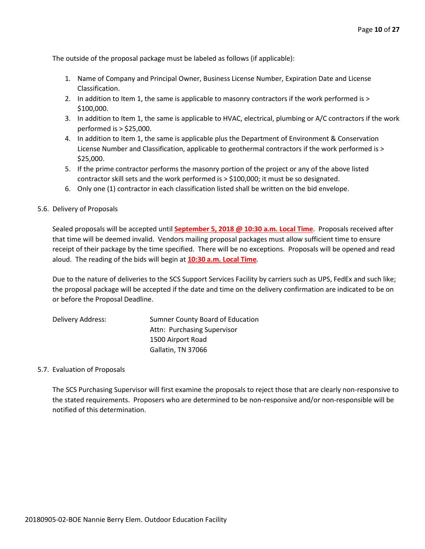The outside of the proposal package must be labeled as follows (if applicable):

- 1. Name of Company and Principal Owner, Business License Number, Expiration Date and License Classification.
- 2. In addition to Item 1, the same is applicable to masonry contractors if the work performed is > \$100,000.
- 3. In addition to Item 1, the same is applicable to HVAC, electrical, plumbing or A/C contractors if the work performed is > \$25,000.
- 4. In addition to Item 1, the same is applicable plus the Department of Environment & Conservation License Number and Classification, applicable to geothermal contractors if the work performed is > \$25,000.
- 5. If the prime contractor performs the masonry portion of the project or any of the above listed contractor skill sets and the work performed is > \$100,000; it must be so designated.
- 6. Only one (1) contractor in each classification listed shall be written on the bid envelope.

#### 5.6. Delivery of Proposals

Sealed proposals will be accepted until **September 5, 2018 @ 10:30 a.m. Local Time**. Proposals received after that time will be deemed invalid. Vendors mailing proposal packages must allow sufficient time to ensure receipt of their package by the time specified. There will be no exceptions. Proposals will be opened and read aloud. The reading of the bids will begin at **10:30 a.m. Local Time**.

Due to the nature of deliveries to the SCS Support Services Facility by carriers such as UPS, FedEx and such like; the proposal package will be accepted if the date and time on the delivery confirmation are indicated to be on or before the Proposal Deadline.

| Delivery Address: | Sumner County Board of Education |
|-------------------|----------------------------------|
|                   | Attn: Purchasing Supervisor      |
|                   | 1500 Airport Road                |
|                   | Gallatin, TN 37066               |

#### 5.7. Evaluation of Proposals

The SCS Purchasing Supervisor will first examine the proposals to reject those that are clearly non-responsive to the stated requirements. Proposers who are determined to be non-responsive and/or non-responsible will be notified of this determination.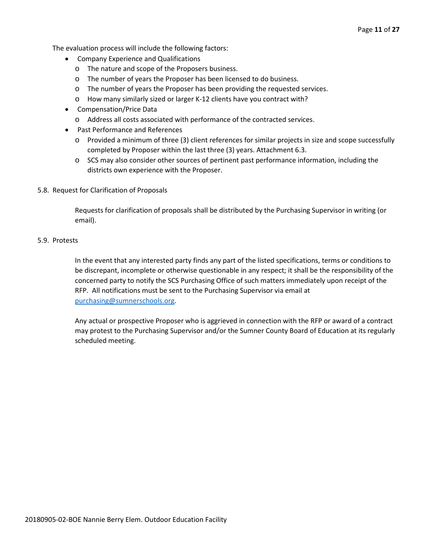The evaluation process will include the following factors:

- Company Experience and Qualifications
	- o The nature and scope of the Proposers business.
	- o The number of years the Proposer has been licensed to do business.
	- o The number of years the Proposer has been providing the requested services.
	- o How many similarly sized or larger K-12 clients have you contract with?
- Compensation/Price Data
	- o Address all costs associated with performance of the contracted services.
- Past Performance and References
	- o Provided a minimum of three (3) client references for similar projects in size and scope successfully completed by Proposer within the last three (3) years. Attachment 6.3.
	- o SCS may also consider other sources of pertinent past performance information, including the districts own experience with the Proposer.
- 5.8. Request for Clarification of Proposals

Requests for clarification of proposals shall be distributed by the Purchasing Supervisor in writing (or email).

#### 5.9. Protests

In the event that any interested party finds any part of the listed specifications, terms or conditions to be discrepant, incomplete or otherwise questionable in any respect; it shall be the responsibility of the concerned party to notify the SCS Purchasing Office of such matters immediately upon receipt of the RFP. All notifications must be sent to the Purchasing Supervisor via email at [purchasing@sumnerschools.org.](mailto:purchasing@sumnerschools.org)

Any actual or prospective Proposer who is aggrieved in connection with the RFP or award of a contract may protest to the Purchasing Supervisor and/or the Sumner County Board of Education at its regularly scheduled meeting.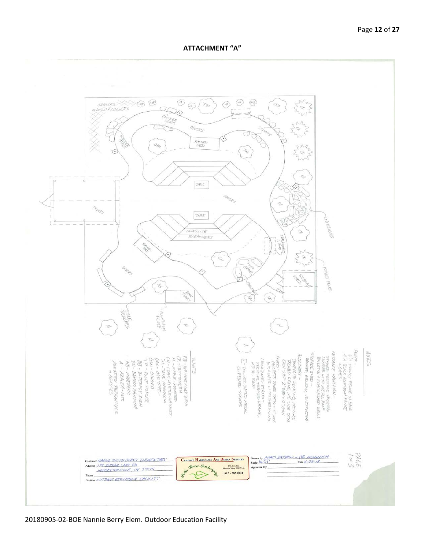**ATTACHMENT "A"**



20180905-02-BOE Nannie Berry Elem. Outdoor Education Facility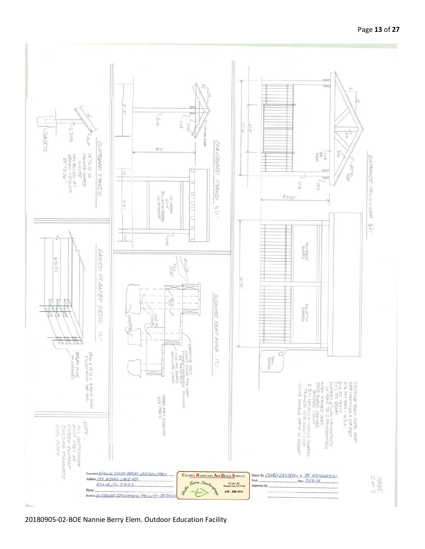

20180905-02-BOE Nannie Berry Elem. Outdoor Education Facility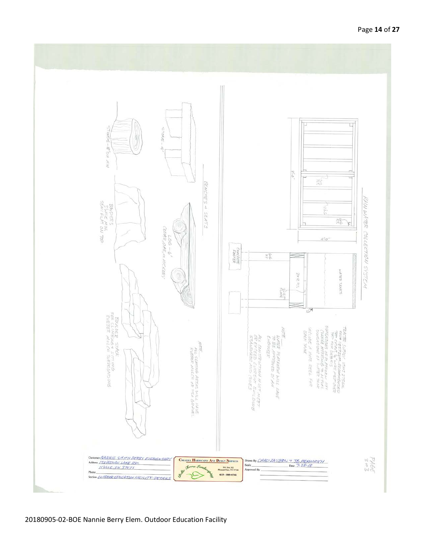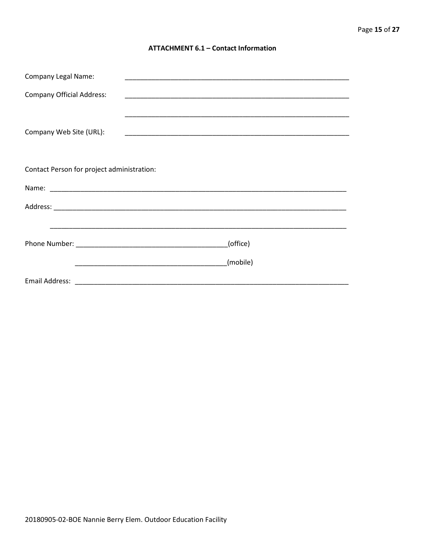#### **ATTACHMENT 6.1 - Contact Information**

| <b>Company Legal Name:</b>                 |          |  |  |  |
|--------------------------------------------|----------|--|--|--|
| <b>Company Official Address:</b>           |          |  |  |  |
|                                            |          |  |  |  |
| Company Web Site (URL):                    |          |  |  |  |
|                                            |          |  |  |  |
| Contact Person for project administration: |          |  |  |  |
|                                            |          |  |  |  |
|                                            |          |  |  |  |
|                                            |          |  |  |  |
|                                            | (office) |  |  |  |
|                                            | (mobile) |  |  |  |
|                                            |          |  |  |  |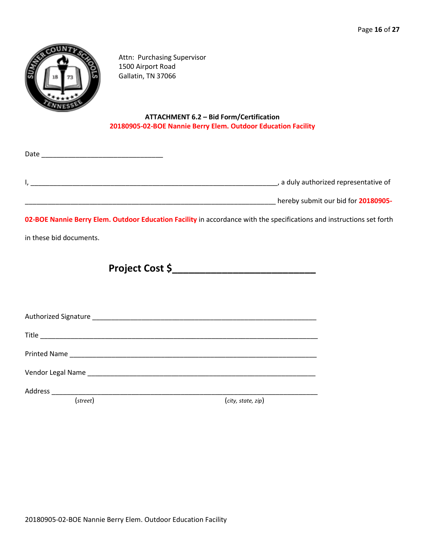

Attn: Purchasing Supervisor 1500 Airport Road Gallatin, TN 37066

#### **ATTACHMENT 6.2 – Bid Form/Certification 20180905-02-BOE Nannie Berry Elem. Outdoor Education Facility**

|                                       | Date |
|---------------------------------------|------|
| , a duly authorized representative of |      |
| hereby submit our bid for 20180905-   |      |

**02-BOE Nannie Berry Elem. Outdoor Education Facility** in accordance with the specifications and instructions set forth

in these bid documents.

**Project Cost \$\_\_\_\_\_\_\_\_\_\_\_\_\_\_\_\_\_\_\_\_\_\_\_\_\_\_**

Authorized Signature \_\_\_\_\_\_\_\_\_\_\_\_\_\_\_\_\_\_\_\_\_\_\_\_\_\_\_\_\_\_\_\_\_\_\_\_\_\_\_\_\_\_\_\_\_\_\_\_\_\_\_\_\_\_\_\_\_\_\_

Title \_\_\_\_\_\_\_\_\_\_\_\_\_\_\_\_\_\_\_\_\_\_\_\_\_\_\_\_\_\_\_\_\_\_\_\_\_\_\_\_\_\_\_\_\_\_\_\_\_\_\_\_\_\_\_\_\_\_\_\_\_\_\_\_\_\_\_\_\_\_\_\_\_

Printed Name \_\_\_\_\_\_\_\_\_\_\_\_\_\_\_\_\_\_\_\_\_\_\_\_\_\_\_\_\_\_\_\_\_\_\_\_\_\_\_\_\_\_\_\_\_\_\_\_\_\_\_\_\_\_\_\_\_\_\_\_\_\_\_\_\_

Vendor Legal Name \_\_\_\_\_\_\_\_\_\_\_\_\_\_\_\_\_\_\_\_\_\_\_\_\_\_\_\_\_\_\_\_\_\_\_\_\_\_\_\_\_\_\_\_\_\_\_\_\_\_\_\_\_\_\_\_\_\_\_\_

Address \_\_\_\_\_\_\_\_\_\_\_\_\_\_\_\_\_\_\_\_\_\_\_\_\_\_\_\_\_\_\_\_\_\_\_\_\_\_\_\_\_\_\_\_\_\_\_\_\_\_\_\_\_\_\_\_\_\_\_\_\_\_\_\_\_\_\_\_\_\_

(*street*) (*city, state, zip*)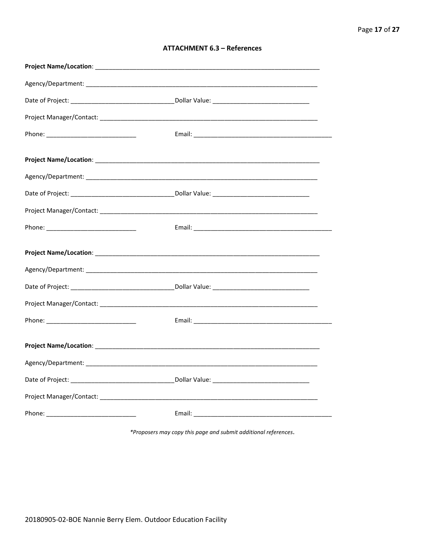| <b>ATTACHMENT 6.3 - References</b> |  |  |
|------------------------------------|--|--|
|------------------------------------|--|--|

\*Proposers may copy this page and submit additional references.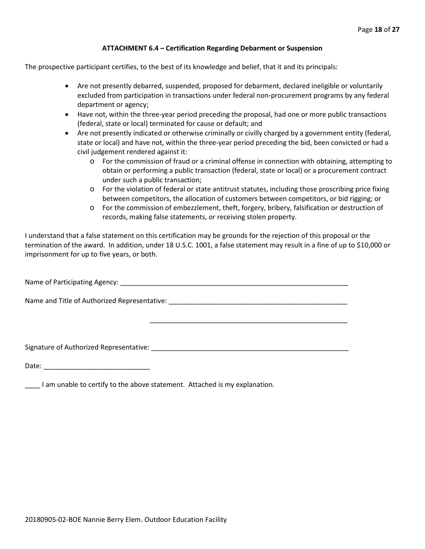#### **ATTACHMENT 6.4 – Certification Regarding Debarment or Suspension**

The prospective participant certifies, to the best of its knowledge and belief, that it and its principals:

- Are not presently debarred, suspended, proposed for debarment, declared ineligible or voluntarily excluded from participation in transactions under federal non-procurement programs by any federal department or agency;
- Have not, within the three-year period preceding the proposal, had one or more public transactions (federal, state or local) terminated for cause or default; and
- Are not presently indicated or otherwise criminally or civilly charged by a government entity (federal, state or local) and have not, within the three-year period preceding the bid, been convicted or had a civil judgement rendered against it:
	- $\circ$  For the commission of fraud or a criminal offense in connection with obtaining, attempting to obtain or performing a public transaction (federal, state or local) or a procurement contract under such a public transaction;
	- o For the violation of federal or state antitrust statutes, including those proscribing price fixing between competitors, the allocation of customers between competitors, or bid rigging; or
	- o For the commission of embezzlement, theft, forgery, bribery, falsification or destruction of records, making false statements, or receiving stolen property.

\_\_\_\_\_\_\_\_\_\_\_\_\_\_\_\_\_\_\_\_\_\_\_\_\_\_\_\_\_\_\_\_\_\_\_\_\_\_\_\_\_\_\_\_\_\_\_\_\_\_\_\_

I understand that a false statement on this certification may be grounds for the rejection of this proposal or the termination of the award. In addition, under 18 U.S.C. 1001, a false statement may result in a fine of up to \$10,000 or imprisonment for up to five years, or both.

Name of Participating Agency: \_\_\_\_\_\_\_\_\_\_\_\_\_\_\_\_\_\_\_\_\_\_\_\_\_\_\_\_\_\_\_\_\_\_\_\_\_\_\_\_\_\_\_\_\_\_\_\_\_\_\_\_\_\_\_\_\_\_\_\_

Name and Title of Authorized Representative: \_\_\_\_\_\_\_\_\_\_\_\_\_\_\_\_\_\_\_\_\_\_\_\_\_\_\_\_\_\_\_\_\_\_\_\_\_\_\_\_\_\_\_\_\_\_\_

Signature of Authorized Representative: \_\_\_\_\_\_\_\_\_\_\_\_\_\_\_\_\_\_\_\_\_\_\_\_\_\_\_\_\_\_\_\_\_\_\_\_\_\_\_\_\_\_\_\_\_\_\_\_\_\_\_\_

Date: \_\_\_\_\_\_\_\_\_\_\_\_\_\_\_\_\_\_\_\_\_\_\_\_\_\_\_\_

\_\_\_\_ I am unable to certify to the above statement. Attached is my explanation.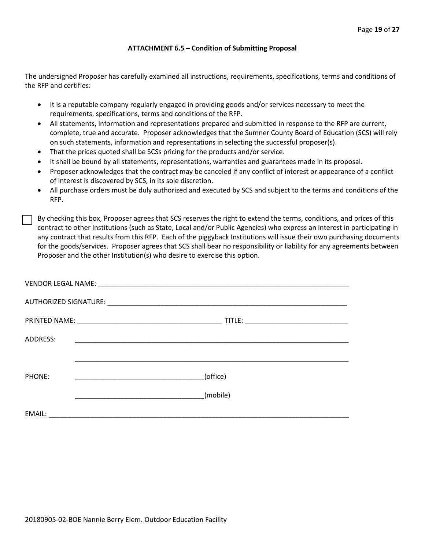#### **ATTACHMENT 6.5 – Condition of Submitting Proposal**

The undersigned Proposer has carefully examined all instructions, requirements, specifications, terms and conditions of the RFP and certifies:

- It is a reputable company regularly engaged in providing goods and/or services necessary to meet the requirements, specifications, terms and conditions of the RFP.
- All statements, information and representations prepared and submitted in response to the RFP are current, complete, true and accurate. Proposer acknowledges that the Sumner County Board of Education (SCS) will rely on such statements, information and representations in selecting the successful proposer(s).
- That the prices quoted shall be SCSs pricing for the products and/or service.
- It shall be bound by all statements, representations, warranties and guarantees made in its proposal.
- Proposer acknowledges that the contract may be canceled if any conflict of interest or appearance of a conflict of interest is discovered by SCS, in its sole discretion.
- All purchase orders must be duly authorized and executed by SCS and subject to the terms and conditions of the RFP.

By checking this box, Proposer agrees that SCS reserves the right to extend the terms, conditions, and prices of this contract to other Institutions (such as State, Local and/or Public Agencies) who express an interest in participating in any contract that results from this RFP. Each of the piggyback Institutions will issue their own purchasing documents for the goods/services. Proposer agrees that SCS shall bear no responsibility or liability for any agreements between Proposer and the other Institution(s) who desire to exercise this option.

| ADDRESS: | <u> 1999 - Johann John Stone, markin film yn y brening yn y brening yn y brening yn y brening yn y brening yn y b</u> |          |
|----------|-----------------------------------------------------------------------------------------------------------------------|----------|
|          |                                                                                                                       |          |
| PHONE:   |                                                                                                                       | (office) |
|          |                                                                                                                       | (mobile) |
| EMAIL:   |                                                                                                                       |          |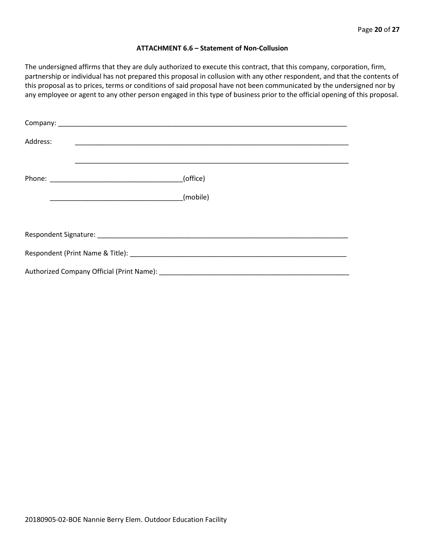#### **ATTACHMENT 6.6 – Statement of Non-Collusion**

The undersigned affirms that they are duly authorized to execute this contract, that this company, corporation, firm, partnership or individual has not prepared this proposal in collusion with any other respondent, and that the contents of this proposal as to prices, terms or conditions of said proposal have not been communicated by the undersigned nor by any employee or agent to any other person engaged in this type of business prior to the official opening of this proposal.

| Address: |          |  |
|----------|----------|--|
|          | (office) |  |
|          | (mobile) |  |
|          |          |  |
|          |          |  |
|          |          |  |
|          |          |  |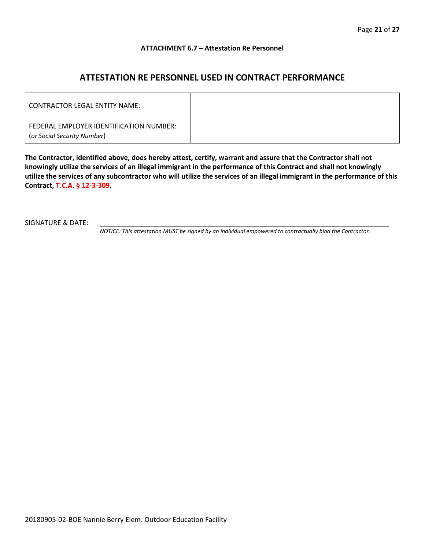#### **ATTACHMENT 6.7 – Attestation Re Personnel**

### **ATTESTATION RE PERSONNEL USED IN CONTRACT PERFORMANCE**

| CONTRACTOR LEGAL ENTITY NAME:                                          |  |
|------------------------------------------------------------------------|--|
| FEDERAL EMPLOYER IDENTIFICATION NUMBER:<br>(or Social Security Number) |  |

**The Contractor, identified above, does hereby attest, certify, warrant and assure that the Contractor shall not knowingly utilize the services of an illegal immigrant in the performance of this Contract and shall not knowingly utilize the services of any subcontractor who will utilize the services of an illegal immigrant in the performance of this Contract, T.C.A. § 12-3-309.**

SIGNATURE & DATE:

*NOTICE: This attestation MUST be signed by an individual empowered to contractually bind the Contractor.*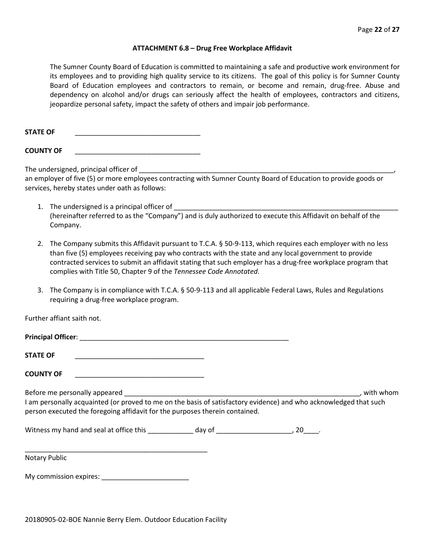#### **ATTACHMENT 6.8 – Drug Free Workplace Affidavit**

The Sumner County Board of Education is committed to maintaining a safe and productive work environment for its employees and to providing high quality service to its citizens. The goal of this policy is for Sumner County Board of Education employees and contractors to remain, or become and remain, drug-free. Abuse and dependency on alcohol and/or drugs can seriously affect the health of employees, contractors and citizens, jeopardize personal safety, impact the safety of others and impair job performance.

STATE OF

**COUNTY OF** \_\_\_\_\_\_\_\_\_\_\_\_\_\_\_\_\_\_\_\_\_\_\_\_\_\_\_\_\_\_\_\_\_

The undersigned, principal officer of

an employer of five (5) or more employees contracting with Sumner County Board of Education to provide goods or services, hereby states under oath as follows:

- 1. The undersigned is a principal officer of (hereinafter referred to as the "Company") and is duly authorized to execute this Affidavit on behalf of the Company.
- 2. The Company submits this Affidavit pursuant to T.C.A. § 50-9-113, which requires each employer with no less than five (5) employees receiving pay who contracts with the state and any local government to provide contracted services to submit an affidavit stating that such employer has a drug-free workplace program that complies with Title 50, Chapter 9 of the *Tennessee Code Annotated*.
- 3. The Company is in compliance with T.C.A. § 50-9-113 and all applicable Federal Laws, Rules and Regulations requiring a drug-free workplace program.

Further affiant saith not.

| <b>STATE OF</b><br><u> 1989 - Johann John Stone, markin amerikan bisa di sebagai pertama dan personal dan personal dan personal dan</u>                                                          |  |             |
|--------------------------------------------------------------------------------------------------------------------------------------------------------------------------------------------------|--|-------------|
| <b>COUNTY OF</b><br><u> 1989 - Johann John Stone, markin film yn y system yn y system yn y system yn y system yn y system yn y system</u>                                                        |  |             |
| I am personally acquainted (or proved to me on the basis of satisfactory evidence) and who acknowledged that such<br>person executed the foregoing affidavit for the purposes therein contained. |  | , with whom |
|                                                                                                                                                                                                  |  |             |
| Notary Public                                                                                                                                                                                    |  |             |
| My commission expires:                                                                                                                                                                           |  |             |

20180905-02-BOE Nannie Berry Elem. Outdoor Education Facility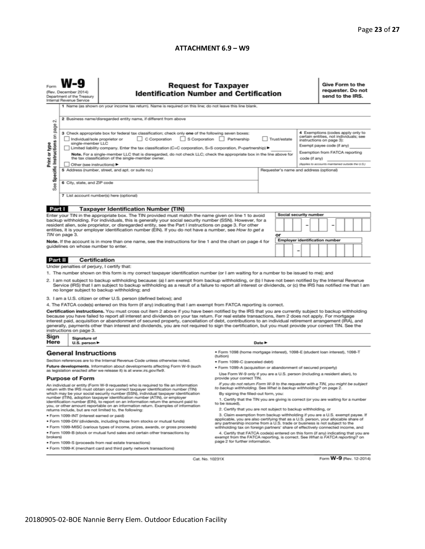#### **ATTACHMENT 6.9 – W9**

|                                                                                                                                                                                                                                                                                                                                                                                                                                                                                                                                                                                                                                                                                                                                                                                                                                                                                                                                                                                                                                                                                                                                                                                                                                                                                                                                                                                                                                                                                                                                                                                                                                                                                                                                                                                                                                                                                                                                                                                                                                                                                                                                                                                                                                                                                                                                                                                                                                                                                        | <b>Request for Taxpayer</b><br><b>Identification Number and Certification</b><br>(Rev. December 2014)<br>Department of the Treasury<br>Internal Revenue Service<br>1 Name (as shown on your income tax return). Name is required on this line; do not leave this line blank.                                                                                                                                                                                                                                                                                                                                                                                                                                                                                                                                        |                                                                                       |        |  |  |  |                                                                                                                                                                                                                              |  | Give Form to the<br>requester. Do not<br>send to the IRS. |  |  |                         |  |
|----------------------------------------------------------------------------------------------------------------------------------------------------------------------------------------------------------------------------------------------------------------------------------------------------------------------------------------------------------------------------------------------------------------------------------------------------------------------------------------------------------------------------------------------------------------------------------------------------------------------------------------------------------------------------------------------------------------------------------------------------------------------------------------------------------------------------------------------------------------------------------------------------------------------------------------------------------------------------------------------------------------------------------------------------------------------------------------------------------------------------------------------------------------------------------------------------------------------------------------------------------------------------------------------------------------------------------------------------------------------------------------------------------------------------------------------------------------------------------------------------------------------------------------------------------------------------------------------------------------------------------------------------------------------------------------------------------------------------------------------------------------------------------------------------------------------------------------------------------------------------------------------------------------------------------------------------------------------------------------------------------------------------------------------------------------------------------------------------------------------------------------------------------------------------------------------------------------------------------------------------------------------------------------------------------------------------------------------------------------------------------------------------------------------------------------------------------------------------------------|---------------------------------------------------------------------------------------------------------------------------------------------------------------------------------------------------------------------------------------------------------------------------------------------------------------------------------------------------------------------------------------------------------------------------------------------------------------------------------------------------------------------------------------------------------------------------------------------------------------------------------------------------------------------------------------------------------------------------------------------------------------------------------------------------------------------|---------------------------------------------------------------------------------------|--------|--|--|--|------------------------------------------------------------------------------------------------------------------------------------------------------------------------------------------------------------------------------|--|-----------------------------------------------------------|--|--|-------------------------|--|
| σû<br>page<br>Specific Instructions on<br>Print or type<br>See                                                                                                                                                                                                                                                                                                                                                                                                                                                                                                                                                                                                                                                                                                                                                                                                                                                                                                                                                                                                                                                                                                                                                                                                                                                                                                                                                                                                                                                                                                                                                                                                                                                                                                                                                                                                                                                                                                                                                                                                                                                                                                                                                                                                                                                                                                                                                                                                                         | 2 Business name/disregarded entity name, if different from above<br>3 Check appropriate box for federal tax classification; check only one of the following seven boxes:<br>C Corporation<br>S Corporation Partnership<br>Trust/estate<br>Individual/sole proprietor or<br>single-member LLC<br>Limited liability company. Enter the tax classification (C=C corporation, S=S corporation, P=partnership) ▶<br>Note. For a single-member LLC that is disregarded, do not check LLC; check the appropriate box in the line above for<br>the tax classification of the single-member owner.<br>code (if any)<br>Other (see instructions) ▶<br>5 Address (number, street, and apt. or suite no.)<br>Requester's name and address (optional)<br>6 City, state, and ZIP code<br>7 List account number(s) here (optional) |                                                                                       |        |  |  |  | 4 Exemptions (codes apply only to<br>certain entities, not individuals; see<br>instructions on page 3):<br>Exempt payee code (if any)<br>Exemption from FATCA reporting<br>(Applies to accounts maintained outside the U.S.) |  |                                                           |  |  |                         |  |
| Part I<br><b>Taxpayer Identification Number (TIN)</b><br>Social security number<br>Enter your TIN in the appropriate box. The TIN provided must match the name given on line 1 to avoid<br>backup withholding. For individuals, this is generally your social security number (SSN). However, for a                                                                                                                                                                                                                                                                                                                                                                                                                                                                                                                                                                                                                                                                                                                                                                                                                                                                                                                                                                                                                                                                                                                                                                                                                                                                                                                                                                                                                                                                                                                                                                                                                                                                                                                                                                                                                                                                                                                                                                                                                                                                                                                                                                                    |                                                                                                                                                                                                                                                                                                                                                                                                                                                                                                                                                                                                                                                                                                                                                                                                                     |                                                                                       |        |  |  |  |                                                                                                                                                                                                                              |  |                                                           |  |  |                         |  |
| resident alien, sole proprietor, or disregarded entity, see the Part I instructions on page 3. For other<br>entities, it is your employer identification number (EIN). If you do not have a number, see How to get a<br>TIN on page 3.<br>Note. If the account is in more than one name, see the instructions for line 1 and the chart on page 4 for<br>guidelines on whose number to enter.                                                                                                                                                                                                                                                                                                                                                                                                                                                                                                                                                                                                                                                                                                                                                                                                                                                                                                                                                                                                                                                                                                                                                                                                                                                                                                                                                                                                                                                                                                                                                                                                                                                                                                                                                                                                                                                                                                                                                                                                                                                                                           |                                                                                                                                                                                                                                                                                                                                                                                                                                                                                                                                                                                                                                                                                                                                                                                                                     |                                                                                       | or     |  |  |  | <b>Employer identification number</b>                                                                                                                                                                                        |  |                                                           |  |  |                         |  |
| <b>Certification</b><br>Part II<br>Under penalties of perjury, I certify that:<br>1. The number shown on this form is my correct taxpayer identification number (or I am waiting for a number to be issued to me); and<br>2. I am not subject to backup withholding because: (a) I am exempt from backup withholding, or (b) I have not been notified by the Internal Revenue<br>Service (IRS) that I am subject to backup withholding as a result of a failure to report all interest or dividends, or (c) the IRS has notified me that I am<br>no longer subject to backup withholding; and                                                                                                                                                                                                                                                                                                                                                                                                                                                                                                                                                                                                                                                                                                                                                                                                                                                                                                                                                                                                                                                                                                                                                                                                                                                                                                                                                                                                                                                                                                                                                                                                                                                                                                                                                                                                                                                                                          |                                                                                                                                                                                                                                                                                                                                                                                                                                                                                                                                                                                                                                                                                                                                                                                                                     |                                                                                       |        |  |  |  |                                                                                                                                                                                                                              |  |                                                           |  |  |                         |  |
| 3. I am a U.S. citizen or other U.S. person (defined below); and<br>4. The FATCA code(s) entered on this form (if any) indicating that I am exempt from FATCA reporting is correct.<br>Certification instructions. You must cross out item 2 above if you have been notified by the IRS that you are currently subject to backup withholding<br>because you have failed to report all interest and dividends on your tax return. For real estate transactions, item 2 does not apply. For mortgage<br>interest paid, acquisition or abandonment of secured property, cancellation of debt, contributions to an individual retirement arrangement (IRA), and<br>generally, payments other than interest and dividends, you are not required to sign the certification, but you must provide your correct TIN. See the<br>instructions on page 3.<br>Sign<br>Signature of                                                                                                                                                                                                                                                                                                                                                                                                                                                                                                                                                                                                                                                                                                                                                                                                                                                                                                                                                                                                                                                                                                                                                                                                                                                                                                                                                                                                                                                                                                                                                                                                                |                                                                                                                                                                                                                                                                                                                                                                                                                                                                                                                                                                                                                                                                                                                                                                                                                     |                                                                                       |        |  |  |  |                                                                                                                                                                                                                              |  |                                                           |  |  |                         |  |
| Here                                                                                                                                                                                                                                                                                                                                                                                                                                                                                                                                                                                                                                                                                                                                                                                                                                                                                                                                                                                                                                                                                                                                                                                                                                                                                                                                                                                                                                                                                                                                                                                                                                                                                                                                                                                                                                                                                                                                                                                                                                                                                                                                                                                                                                                                                                                                                                                                                                                                                   | U.S. person $\blacktriangleright$                                                                                                                                                                                                                                                                                                                                                                                                                                                                                                                                                                                                                                                                                                                                                                                   |                                                                                       | Date P |  |  |  |                                                                                                                                                                                                                              |  |                                                           |  |  |                         |  |
| · Form 1098 (home mortgage interest), 1098-E (student loan interest), 1098-T<br><b>General Instructions</b><br>(tuition)<br>Section references are to the Internal Revenue Code unless otherwise noted.<br>· Form 1099-C (canceled debt)<br>Future developments. Information about developments affecting Form W-9 (such<br>. Form 1099-A (acquisition or abandonment of secured property)<br>as legislation enacted after we release it) is at www.irs.gov/fw9.<br>Use Form W-9 only if you are a U.S. person (including a resident alien), to<br><b>Purpose of Form</b><br>provide your correct TIN.<br>If you do not return Form W-9 to the requester with a TIN, you might be subject<br>An individual or entity (Form W-9 requester) who is required to file an information<br>to backup withholding. See What is backup withholding? on page 2.<br>return with the IRS must obtain your correct taxpayer identification number (TIN)<br>which may be your social security number (SSN), individual taxpayer identification<br>By signing the filled-out form, you:<br>number (ITIN), adoption taxpayer identification number (ATIN), or employer<br>1. Certify that the TIN you are giving is correct (or you are waiting for a number<br>identification number (EIN), to report on an information return the amount paid to<br>to be issued).<br>you, or other amount reportable on an information return. Examples of information<br>2. Certify that you are not subject to backup withholding, or<br>returns include, but are not limited to, the following:<br>3. Claim exemption from backup withholding if you are a U.S. exempt payee. If<br>· Form 1099-INT (interest earned or paid)<br>applicable, you are also certifying that as a U.S. person, your allocable share of<br>. Form 1099-DIV (dividends, including those from stocks or mutual funds)<br>any partnership income from a U.S. trade or business is not subject to the<br>. Form 1099-MISC (various types of income, prizes, awards, or gross proceeds)<br>withholding tax on foreign partners' share of effectively connected income, and<br>. Form 1099-B (stock or mutual fund sales and certain other transactions by<br>4. Certify that FATCA code(s) entered on this form (if any) indicating that you are<br>brokers)<br>exempt from the FATCA reporting, is correct. See What is FATCA reporting? on<br>page 2 for further information.<br>· Form 1099-S (proceeds from real estate transactions) |                                                                                                                                                                                                                                                                                                                                                                                                                                                                                                                                                                                                                                                                                                                                                                                                                     |                                                                                       |        |  |  |  |                                                                                                                                                                                                                              |  |                                                           |  |  |                         |  |
|                                                                                                                                                                                                                                                                                                                                                                                                                                                                                                                                                                                                                                                                                                                                                                                                                                                                                                                                                                                                                                                                                                                                                                                                                                                                                                                                                                                                                                                                                                                                                                                                                                                                                                                                                                                                                                                                                                                                                                                                                                                                                                                                                                                                                                                                                                                                                                                                                                                                                        |                                                                                                                                                                                                                                                                                                                                                                                                                                                                                                                                                                                                                                                                                                                                                                                                                     | . Form 1099-K (merchant card and third party network transactions)<br>Cat. No. 10231X |        |  |  |  |                                                                                                                                                                                                                              |  |                                                           |  |  | Form W-9 (Rev. 12-2014) |  |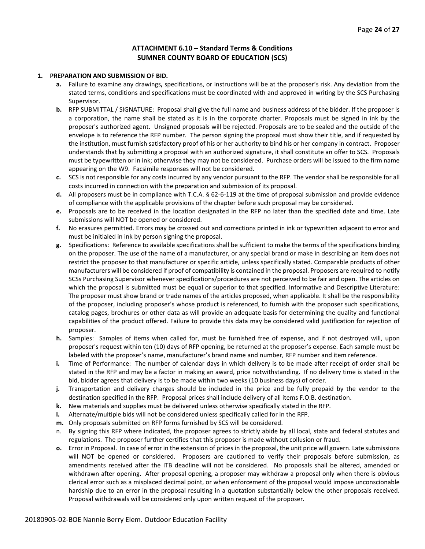#### **ATTACHMENT 6.10 – Standard Terms & Conditions SUMNER COUNTY BOARD OF EDUCATION (SCS)**

#### **1. PREPARATION AND SUBMISSION OF BID.**

- **a.** Failure to examine any drawings**,** specifications, or instructions will be at the proposer's risk. Any deviation from the stated terms, conditions and specifications must be coordinated with and approved in writing by the SCS Purchasing Supervisor.
- **b.** RFP SUBMITTAL / SIGNATURE: Proposal shall give the full name and business address of the bidder. If the proposer is a corporation, the name shall be stated as it is in the corporate charter. Proposals must be signed in ink by the proposer's authorized agent. Unsigned proposals will be rejected. Proposals are to be sealed and the outside of the envelope is to reference the RFP number. The person signing the proposal must show their title, and if requested by the institution, must furnish satisfactory proof of his or her authority to bind his or her company in contract. Proposer understands that by submitting a proposal with an authorized signature, it shall constitute an offer to SCS. Proposals must be typewritten or in ink; otherwise they may not be considered. Purchase orders will be issued to the firm name appearing on the W9. Facsimile responses will not be considered.
- **c.** SCS is not responsible for any costs incurred by any vendor pursuant to the RFP. The vendor shall be responsible for all costs incurred in connection with the preparation and submission of its proposal.
- **d.** All proposers must be in compliance with T.C.A. § 62-6-119 at the time of proposal submission and provide evidence of compliance with the applicable provisions of the chapter before such proposal may be considered.
- **e.** Proposals are to be received in the location designated in the RFP no later than the specified date and time. Late submissions will NOT be opened or considered.
- **f.** No erasures permitted. Errors may be crossed out and corrections printed in ink or typewritten adjacent to error and must be initialed in ink by person signing the proposal.
- **g.** Specifications: Reference to available specifications shall be sufficient to make the terms of the specifications binding on the proposer. The use of the name of a manufacturer, or any special brand or make in describing an item does not restrict the proposer to that manufacturer or specific article, unless specifically stated. Comparable products of other manufacturers will be considered if proof of compatibility is contained in the proposal. Proposers are required to notify SCSs Purchasing Supervisor whenever specifications/procedures are not perceived to be fair and open. The articles on which the proposal is submitted must be equal or superior to that specified. Informative and Descriptive Literature: The proposer must show brand or trade names of the articles proposed, when applicable. It shall be the responsibility of the proposer, including proposer's whose product is referenced, to furnish with the proposer such specifications, catalog pages, brochures or other data as will provide an adequate basis for determining the quality and functional capabilities of the product offered. Failure to provide this data may be considered valid justification for rejection of proposer.
- **h.** Samples: Samples of items when called for, must be furnished free of expense, and if not destroyed will, upon proposer's request within ten (10) days of RFP opening, be returned at the proposer's expense. Each sample must be labeled with the proposer's name, manufacturer's brand name and number, RFP number and item reference.
- **i.** Time of Performance: The number of calendar days in which delivery is to be made after receipt of order shall be stated in the RFP and may be a factor in making an award, price notwithstanding. If no delivery time is stated in the bid, bidder agrees that delivery is to be made within two weeks (10 business days) of order.
- **j.** Transportation and delivery charges should be included in the price and be fully prepaid by the vendor to the destination specified in the RFP. Proposal prices shall include delivery of all items F.O.B. destination.
- **k.** New materials and supplies must be delivered unless otherwise specifically stated in the RFP.
- **l.** Alternate/multiple bids will not be considered unless specifically called for in the RFP.
- **m.** Only proposals submitted on RFP forms furnished by SCS will be considered.
- n. By signing this RFP where indicated, the proposer agrees to strictly abide by all local, state and federal statutes and regulations. The proposer further certifies that this proposer is made without collusion or fraud.
- **o.** Error in Proposal. In case of error in the extension of prices in the proposal, the unit price will govern. Late submissions will NOT be opened or considered. Proposers are cautioned to verify their proposals before submission, as amendments received after the ITB deadline will not be considered. No proposals shall be altered, amended or withdrawn after opening. After proposal opening, a proposer may withdraw a proposal only when there is obvious clerical error such as a misplaced decimal point, or when enforcement of the proposal would impose unconscionable hardship due to an error in the proposal resulting in a quotation substantially below the other proposals received. Proposal withdrawals will be considered only upon written request of the proposer.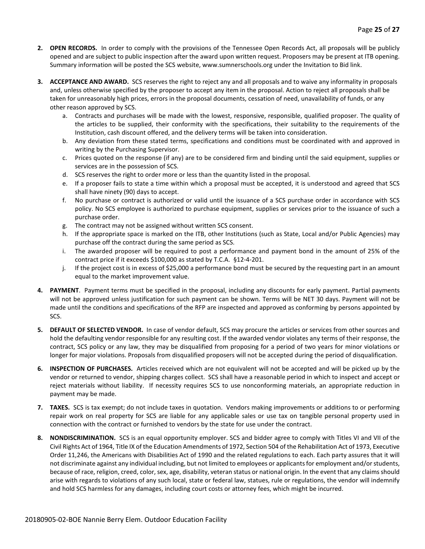- **2. OPEN RECORDS.** In order to comply with the provisions of the Tennessee Open Records Act, all proposals will be publicly opened and are subject to public inspection after the award upon written request. Proposers may be present at ITB opening. Summary information will be posted the SCS website, www.sumnerschools.org under the Invitation to Bid link.
- **3. ACCEPTANCE AND AWARD.** SCS reserves the right to reject any and all proposals and to waive any informality in proposals and, unless otherwise specified by the proposer to accept any item in the proposal. Action to reject all proposals shall be taken for unreasonably high prices, errors in the proposal documents, cessation of need, unavailability of funds, or any other reason approved by SCS.
	- a. Contracts and purchases will be made with the lowest, responsive, responsible, qualified proposer. The quality of the articles to be supplied, their conformity with the specifications, their suitability to the requirements of the Institution, cash discount offered, and the delivery terms will be taken into consideration.
	- b. Any deviation from these stated terms, specifications and conditions must be coordinated with and approved in writing by the Purchasing Supervisor.
	- c. Prices quoted on the response (if any) are to be considered firm and binding until the said equipment, supplies or services are in the possession of SCS.
	- d. SCS reserves the right to order more or less than the quantity listed in the proposal.
	- e. If a proposer fails to state a time within which a proposal must be accepted, it is understood and agreed that SCS shall have ninety (90) days to accept.
	- f. No purchase or contract is authorized or valid until the issuance of a SCS purchase order in accordance with SCS policy. No SCS employee is authorized to purchase equipment, supplies or services prior to the issuance of such a purchase order.
	- g. The contract may not be assigned without written SCS consent.
	- h. If the appropriate space is marked on the ITB, other Institutions (such as State, Local and/or Public Agencies) may purchase off the contract during the same period as SCS.
	- i. The awarded proposer will be required to post a performance and payment bond in the amount of 25% of the contract price if it exceeds \$100,000 as stated by T.C.A. §12-4-201.
	- j. If the project cost is in excess of \$25,000 a performance bond must be secured by the requesting part in an amount equal to the market improvement value.
- **4. PAYMENT**. Payment terms must be specified in the proposal, including any discounts for early payment. Partial payments will not be approved unless justification for such payment can be shown. Terms will be NET 30 days. Payment will not be made until the conditions and specifications of the RFP are inspected and approved as conforming by persons appointed by SCS.
- **5. DEFAULT OF SELECTED VENDOR.** In case of vendor default, SCS may procure the articles or services from other sources and hold the defaulting vendor responsible for any resulting cost. If the awarded vendor violates any terms of their response, the contract, SCS policy or any law, they may be disqualified from proposing for a period of two years for minor violations or longer for major violations. Proposals from disqualified proposers will not be accepted during the period of disqualification.
- **6. INSPECTION OF PURCHASES.** Articles received which are not equivalent will not be accepted and will be picked up by the vendor or returned to vendor, shipping charges collect. SCS shall have a reasonable period in which to inspect and accept or reject materials without liability. If necessity requires SCS to use nonconforming materials, an appropriate reduction in payment may be made.
- **7. TAXES.** SCS is tax exempt; do not include taxes in quotation. Vendors making improvements or additions to or performing repair work on real property for SCS are liable for any applicable sales or use tax on tangible personal property used in connection with the contract or furnished to vendors by the state for use under the contract.
- **8. NONDISCRIMINATION.** SCS is an equal opportunity employer. SCS and bidder agree to comply with Titles VI and VII of the Civil Rights Act of 1964, Title IX of the Education Amendments of 1972, Section 504 of the Rehabilitation Act of 1973, Executive Order 11,246, the Americans with Disabilities Act of 1990 and the related regulations to each. Each party assures that it will not discriminate against any individual including, but not limited to employees or applicants for employment and/or students, because of race, religion, creed, color, sex, age, disability, veteran status or national origin. In the event that any claims should arise with regards to violations of any such local, state or federal law, statues, rule or regulations, the vendor will indemnify and hold SCS harmless for any damages, including court costs or attorney fees, which might be incurred.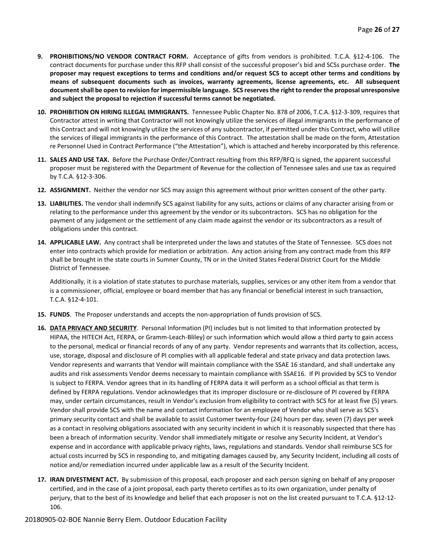- **9. PROHIBITIONS/NO VENDOR CONTRACT FORM.** Acceptance of gifts from vendors is prohibited. T.C.A. §12-4-106. The contract documents for purchase under this RFP shall consist of the successful proposer's bid and SCSs purchase order. **The proposer may request exceptions to terms and conditions and/or request SCS to accept other terms and conditions by means of subsequent documents such as invoices, warranty agreements, license agreements, etc. All subsequent document shall be open to revision for impermissible language. SCS reserves the right to render the proposal unresponsive and subject the proposal to rejection if successful terms cannot be negotiated.**
- **10. PROHIBITION ON HIRING ILLEGAL IMMIGRANTS.** Tennessee Public Chapter No. 878 of 2006, T.C.A. §12-3-309, requires that Contractor attest in writing that Contractor will not knowingly utilize the services of illegal immigrants in the performance of this Contract and will not knowingly utilize the services of any subcontractor, if permitted under this Contract, who will utilize the services of illegal immigrants in the performance of this Contract. The attestation shall be made on the form, Attestation re Personnel Used in Contract Performance ("the Attestation"), which is attached and hereby incorporated by this reference.
- **11. SALES AND USE TAX.** Before the Purchase Order/Contract resulting from this RFP/RFQ is signed, the apparent successful proposer must be registered with the Department of Revenue for the collection of Tennessee sales and use tax as required by T.C.A. §12-3-306.
- **12. ASSIGNMENT.** Neither the vendor nor SCS may assign this agreement without prior written consent of the other party.
- **13. LIABILITIES.** The vendor shall indemnify SCS against liability for any suits, actions or claims of any character arising from or relating to the performance under this agreement by the vendor or its subcontractors. SCS has no obligation for the payment of any judgement or the settlement of any claim made against the vendor or its subcontractors as a result of obligations under this contract.
- **14. APPLICABLE LAW.** Any contract shall be interpreted under the laws and statutes of the State of Tennessee. SCS does not enter into contracts which provide for mediation or arbitration. Any action arising from any contract made from this RFP shall be brought in the state courts in Sumner County, TN or in the United States Federal District Court for the Middle District of Tennessee.

Additionally, it is a violation of state statutes to purchase materials, supplies, services or any other item from a vendor that is a commissioner, official, employee or board member that has any financial or beneficial interest in such transaction, T.C.A. §12-4-101.

- **15. FUNDS**. The Proposer understands and accepts the non-appropriation of funds provision of SCS.
- **16. DATA PRIVACY AND SECURITY**. Personal Information (PI) includes but is not limited to that information protected by HIPAA, the HITECH Act, FERPA, or Gramm-Leach-Bliley) or such information which would allow a third party to gain access to the personal, medical or financial records of any of any party. Vendor represents and warrants that its collection, access, use, storage, disposal and disclosure of PI complies with all applicable federal and state privacy and data protection laws. Vendor represents and warrants that Vendor will maintain compliance with the SSAE 16 standard, and shall undertake any audits and risk assessments Vendor deems necessary to maintain compliance with SSAE16. If PI provided by SCS to Vendor is subject to FERPA. Vendor agrees that in its handling of FERPA data it will perform as a school official as that term is defined by FERPA regulations. Vendor acknowledges that its improper disclosure or re-disclosure of PI covered by FERPA may, under certain circumstances, result in Vendor's exclusion from eligibility to contract with SCS for at least five (5) years. Vendor shall provide SCS with the name and contact information for an employee of Vendor who shall serve as SCS's primary security contact and shall be available to assist Customer twenty-four (24) hours per day, seven (7) days per week as a contact in resolving obligations associated with any security incident in which it is reasonably suspected that there has been a breach of information security. Vendor shall immediately mitigate or resolve any Security Incident, at Vendor's expense and in accordance with applicable privacy rights, laws, regulations and standards. Vendor shall reimburse SCS for actual costs incurred by SCS in responding to, and mitigating damages caused by, any Security Incident, including all costs of notice and/or remediation incurred under applicable law as a result of the Security Incident.
- **17. IRAN DIVESTMENT ACT.** By submission of this proposal, each proposer and each person signing on behalf of any proposer certified, and in the case of a joint proposal, each party thereto certifies as to its own organization, under penalty of perjury, that to the best of its knowledge and belief that each proposer is not on the list created pursuant to T.C.A. §12-12- 106.